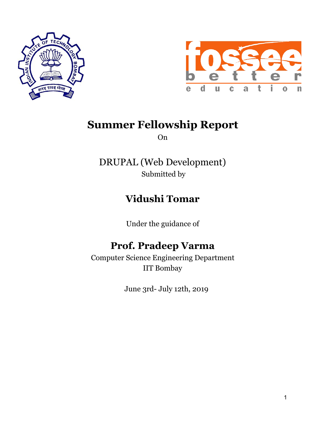



# **Summer Fellowship Report**

On

DRUPAL (Web Development) Submitted by

# **Vidushi Tomar**

Under the guidance of

# **Prof. Pradeep Varma**

Computer Science Engineering Department IIT Bombay

June 3rd- July 12th, 2019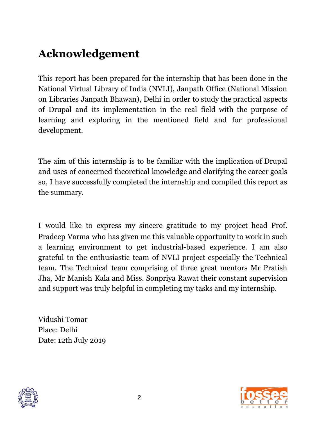# **Acknowledgement**

This report has been prepared for the internship that has been done in the National Virtual Library of India (NVLI), Janpath Office (National Mission on Libraries Janpath Bhawan), Delhi in order to study the practical aspects of Drupal and its implementation in the real field with the purpose of learning and exploring in the mentioned field and for professional development.

The aim of this internship is to be familiar with the implication of Drupal and uses of concerned theoretical knowledge and clarifying the career goals so, I have successfully completed the internship and compiled this report as the summary.

I would like to express my sincere gratitude to my project head Prof. Pradeep Varma who has given me this valuable opportunity to work in such a learning environment to get industrial-based experience. I am also grateful to the enthusiastic team of NVLI project especially the Technical team. The Technical team comprising of three great mentors Mr Pratish Jha, Mr Manish Kala and Miss. Sonpriya Rawat their constant supervision and support was truly helpful in completing my tasks and my internship.

Vidushi Tomar Place: Delhi Date: 12th July 2019



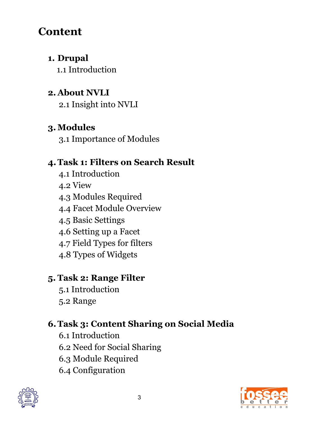# **Content**

### **1. Drupal**

1.1 Introduction

## **2. About NVLI**

2.1 Insight into NVLI

## **3. Modules**

3.1 Importance of Modules

## **4.Task 1: Filters on Search Result**

- 4.1 Introduction 4.2 View
- 4.3 Modules Required
- 4.4 Facet Module Overview
- 4.5 Basic Settings
- 4.6 Setting up a Facet
- 4.7 Field Types for filters
- 4.8 Types of Widgets

## **5. Task 2: Range Filter**

5.1 Introduction 5.2 Range

## **6.Task 3: Content Sharing on Social Media**

6.1 Introduction 6.2 Need for Social Sharing 6.3 Module Required 6.4 Configuration



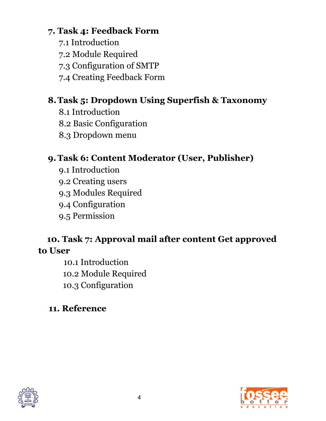### **7. Task 4: Feedback Form**

- 7.1 Introduction
- 7.2 Module Required
- 7.3 Configuration of SMTP
- 7.4 Creating Feedback Form

## **8.Task 5: Dropdown Using Superfish & Taxonomy**

- 8.1 Introduction
- 8.2 Basic Configuration
- 8.3 Dropdown menu

## **9.Task 6: Content Moderator (User, Publisher)**

- 9.1 Introduction
- 9.2 Creating users
- 9.3 Modules Required
- 9.4 Configuration
- 9.5 Permission

### **10. Task 7: Approval mail after content Get approved to User**

10.1 Introduction 10.2 Module Required 10.3 Configuration

## **11. Reference**



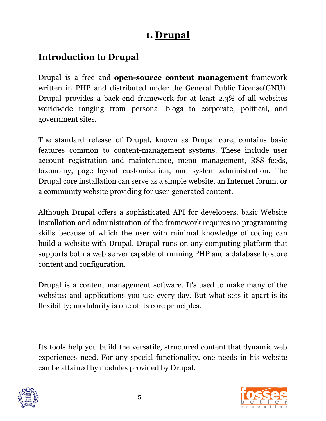## **1. Drupal**

### **Introduction to Drupal**

Drupal is a free and **open-source content management** framework written in PHP and distributed under the General Public License(GNU). Drupal provides a back-end framework for at least 2.3% of all websites worldwide ranging from personal blogs to corporate, political, and government sites.

The standard release of Drupal, known as Drupal core, contains basic features common to content-management systems. These include user account registration and maintenance, menu management, RSS feeds, taxonomy, page layout customization, and system administration. The Drupal core installation can serve as a simple website, an Internet forum, or a community website providing for user-generated content.

Although Drupal offers a sophisticated API for developers, basic Website installation and administration of the framework requires no programming skills because of which the user with minimal knowledge of coding can build a website with Drupal. Drupal runs on any computing platform that supports both a web server capable of running PHP and a database to store content and configuration.

Drupal is a content management software. It's used to make many of the websites and applications you use every day. But what sets it apart is its flexibility; modularity is one of its core principles.

Its tools help you build the versatile, structured content that dynamic web experiences need. For any special functionality, one needs in his website can be attained by modules provided by Drupal.



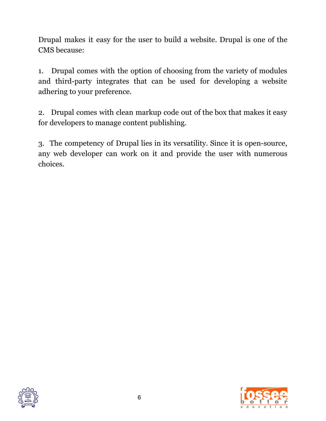Drupal makes it easy for the user to build a website. Drupal is one of the CMS because:

1. Drupal comes with the option of choosing from the variety of modules and third-party integrates that can be used for developing a website adhering to your preference.

2. Drupal comes with clean markup code out of the box that makes it easy for developers to manage content publishing.

3. The competency of Drupal lies in its versatility. Since it is open-source, any web developer can work on it and provide the user with numerous choices.



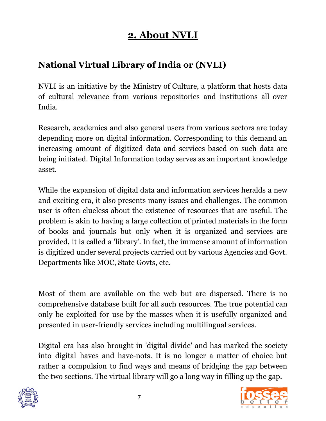# **2. About NVLI**

### **National Virtual Library of India or (NVLI)**

NVLI is an initiative by the Ministry of Culture, a platform that hosts data of cultural relevance from various repositories and institutions all over India.

Research, academics and also general users from various sectors are today depending more on digital information. Corresponding to this demand an increasing amount of digitized data and services based on such data are being initiated. Digital Information today serves as an important knowledge asset.

While the expansion of digital data and information services heralds a new and exciting era, it also presents many issues and challenges. The common user is often clueless about the existence of resources that are useful. The problem is akin to having a large collection of printed materials in the form of books and journals but only when it is organized and services are provided, it is called a 'library'. In fact, the immense amount of information is digitized under several projects carried out by various Agencies and Govt. Departments like MOC, State Govts, etc.

Most of them are available on the web but are dispersed. There is no comprehensive database built for all such resources. The true potential can only be exploited for use by the masses when it is usefully organized and presented in user-friendly services including multilingual services.

Digital era has also brought in 'digital divide' and has marked the society into digital haves and have-nots. It is no longer a matter of choice but rather a compulsion to find ways and means of bridging the gap between the two sections. The virtual library will go a long way in filling up the gap.



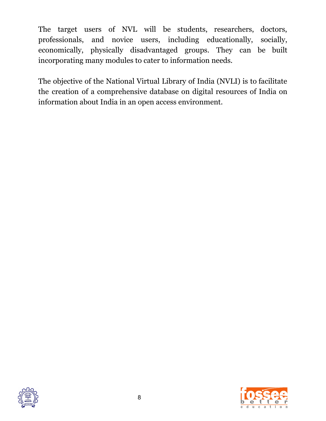The target users of NVL will be students, researchers, doctors, professionals, and novice users, including educationally, socially, economically, physically disadvantaged groups. They can be built incorporating many modules to cater to information needs.

The objective of the National Virtual Library of India (NVLI) is to facilitate the creation of a comprehensive database on digital resources of India on information about India in an open access environment.



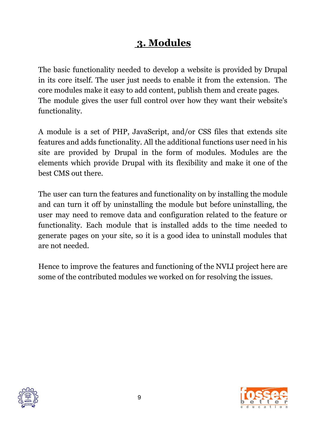# **3. Modules**

The basic functionality needed to develop a website is provided by Drupal in its core itself. The user just needs to enable it from the extension. The core modules make it easy to add content, publish them and create pages. The module gives the user full control over how they want their website's functionality.

A module is a set of PHP, JavaScript, and/or CSS files that extends site features and adds functionality. All the additional functions user need in his site are provided by Drupal in the form of modules. Modules are the elements which provide Drupal with its flexibility and make it one of the best CMS out there.

The user can turn the features and functionality on by installing the module and can turn it off by uninstalling the module but before uninstalling, the user may need to remove data and configuration related to the feature or functionality. Each module that is installed adds to the time needed to generate pages on your site, so it is a good idea to uninstall modules that are not needed.

Hence to improve the features and functioning of the NVLI project here are some of the contributed modules we worked on for resolving the issues.



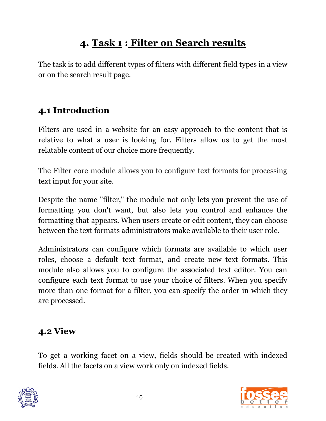# **4. Task 1 : Filter on Search results**

The task is to add different types of filters with different field types in a view or on the search result page.

## **4.1 Introduction**

Filters are used in a website for an easy approach to the content that is relative to what a user is looking for. Filters allow us to get the most relatable content of our choice more frequently.

The Filter core module allows you to configure text formats for processing text input for your site.

Despite the name "filter," the module not only lets you prevent the use of formatting you don't want, but also lets you control and enhance the formatting that appears. When users create or edit content, they can choose between the text formats administrators make available to their user role.

Administrators can configure which formats are available to which user roles, choose a default text format, and create new text formats. This module also allows you to configure the associated text editor. You can configure each text format to use your choice of filters. When you specify more than one format for a filter, you can specify the order in which they are processed.

### **4.2 View**

To get a working facet on a view, fields should be created with indexed fields. All the facets on a view work only on indexed fields.



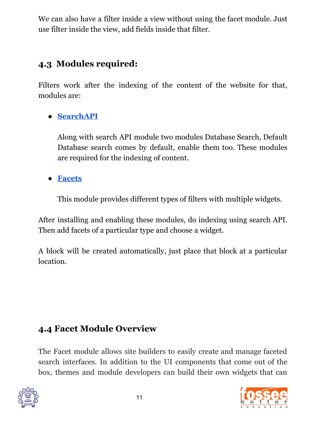We can also have a filter inside a view without using the facet module. Just use filter inside the view, add fields inside that filter.

## **4.3 Modules required:**

Filters work after the indexing of the content of the website for that, modules are:

### **● [SearchAPI](https://www.drupal.org/project/search_api)**

Along with search API module two modules Database Search, Default Database search comes by default, enable them too. These modules are required for the indexing of content.

**● [Facets](https://www.drupal.org/project/facets)**

This module provides different types of filters with multiple widgets.

After installing and enabling these modules, do indexing using search API. Then add facets of a particular type and choose a widget.

A block will be created automatically, just place that block at a particular location.

## **4.4 Facet Module Overview**

The Facet module allows site builders to easily create and manage faceted search interfaces. In addition to the UI components that come out of the box, themes and module developers can build their own widgets that can



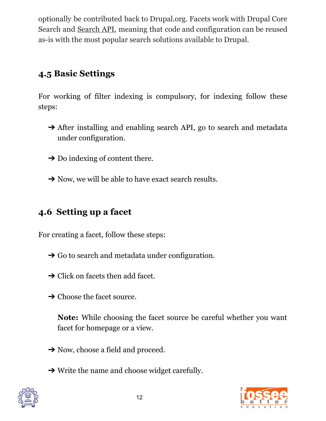optionally be contributed back to Drupal.org. Facets work with Drupal Core Search and [Search](http://drupal.org/project/search_api) API, meaning that code and configuration can be reused as-is with the most popular search solutions available to Drupal.

## **4.5 Basic Settings**

For working of filter indexing is compulsory, for indexing follow these steps:

- → After installing and enabling search API, go to search and metadata under configuration.
- $\rightarrow$  Do indexing of content there.
- → Now, we will be able to have exact search results.

## **4.6 Setting up a facet**

For creating a facet, follow these steps:

- $\rightarrow$  Go to search and metadata under configuration.
- $\rightarrow$  Click on facets then add facet.
- **→ Choose the facet source.**

**Note:** While choosing the facet source be careful whether you want facet for homepage or a view.

- **→** Now, choose a field and proceed.
- $\rightarrow$  Write the name and choose widget carefully.



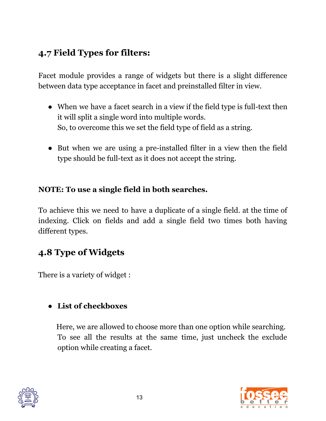## **4.7 Field Types for filters:**

Facet module provides a range of widgets but there is a slight difference between data type acceptance in facet and preinstalled filter in view.

- **●** When we have a facet search in a view if the field type is full-text then it will split a single word into multiple words. So, to overcome this we set the field type of field as a string.
- But when we are using a pre-installed filter in a view then the field type should be full-text as it does not accept the string.

#### **NOTE: To use a single field in both searches.**

To achieve this we need to have a duplicate of a single field. at the time of indexing. Click on fields and add a single field two times both having different types.

## **4.8 Type of Widgets**

There is a variety of widget :

#### **● List of checkboxes**

Here, we are allowed to choose more than one option while searching. To see all the results at the same time, just uncheck the exclude option while creating a facet.



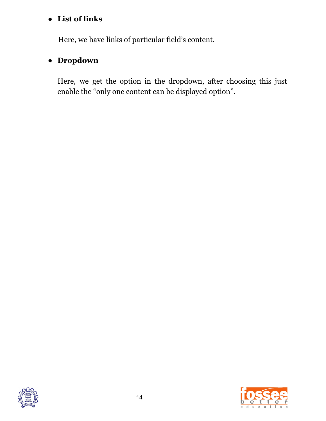#### **● List of links**

Here, we have links of particular field's content.

#### ● **Dropdown**

Here, we get the option in the dropdown, after choosing this just enable the "only one content can be displayed option".



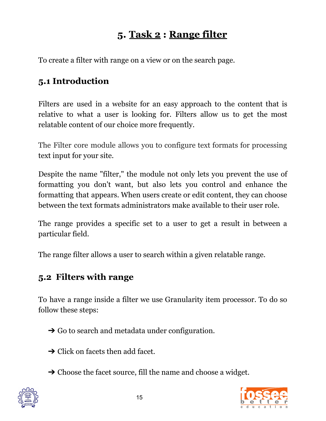## **5. Task 2 : Range filter**

To create a filter with range on a view or on the search page.

### **5.1 Introduction**

Filters are used in a website for an easy approach to the content that is relative to what a user is looking for. Filters allow us to get the most relatable content of our choice more frequently.

The Filter core module allows you to configure text formats for processing text input for your site.

Despite the name "filter," the module not only lets you prevent the use of formatting you don't want, but also lets you control and enhance the formatting that appears. When users create or edit content, they can choose between the text formats administrators make available to their user role.

The range provides a specific set to a user to get a result in between a particular field.

The range filter allows a user to search within a given relatable range.

### **5.2 Filters with range**

To have a range inside a filter we use Granularity item processor. To do so follow these steps:

- $\rightarrow$  Go to search and metadata under configuration.
- $\rightarrow$  Click on facets then add facet.
- **→ Choose the facet source, fill the name and choose a widget.**



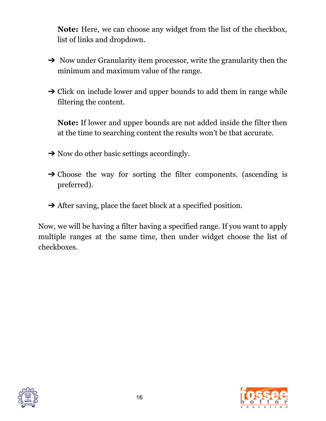**Note:** Here, we can choose any widget from the list of the checkbox, list of links and dropdown.

- ➔ Now under Granularity item processor, write the granularity then the minimum and maximum value of the range.
- $\rightarrow$  Click on include lower and upper bounds to add them in range while filtering the content.

**Note:** If lower and upper bounds are not added inside the filter then at the time to searching content the results won't be that accurate.

- $\rightarrow$  Now do other basic settings accordingly.
- $\rightarrow$  Choose the way for sorting the filter components. (ascending is preferred).
- **→** After saving, place the facet block at a specified position.

Now, we will be having a filter having a specified range. If you want to apply multiple ranges at the same time, then under widget choose the list of checkboxes.



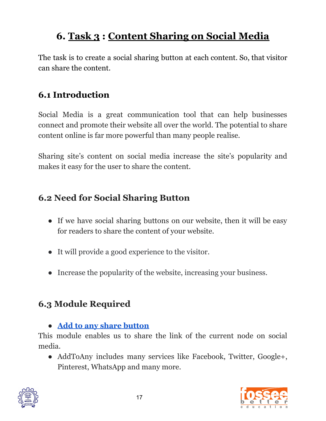# **6. Task 3 : Content Sharing on Social Media**

The task is to create a social sharing button at each content. So, that visitor can share the content.

### **6.1 Introduction**

Social Media is a great communication tool that can help businesses connect and promote their website all over the world. The potential to share content online is far more powerful than many people realise.

Sharing site's content on social media increase the site's popularity and makes it easy for the user to share the content.

### **6.2 Need for Social Sharing Button**

- **●** If we have social sharing buttons on our website, then it will be easy for readers to share the content of your website.
- It will provide a good experience to the visitor.
- Increase the popularity of the website, increasing your business.

## **6.3 Module Required**

**● Add to any share [button](https://www.drupal.org/project/addtoany)**

This module enables us to share the link of the current node on social media.

• AddToAny includes many services like Facebook, Twitter, Google+, Pinterest, WhatsApp and many more.



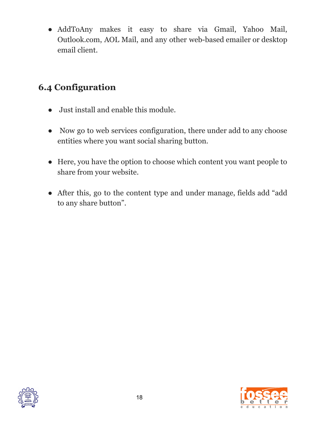● AddToAny makes it easy to share via Gmail, Yahoo Mail, Outlook.com, AOL Mail, and any other web-based emailer or desktop email client.

## **6.4 Configuration**

- Just install and enable this module.
- Now go to web services configuration, there under add to any choose entities where you want social sharing button.
- Here, you have the option to choose which content you want people to share from your website.
- After this, go to the content type and under manage, fields add "add" to any share button".



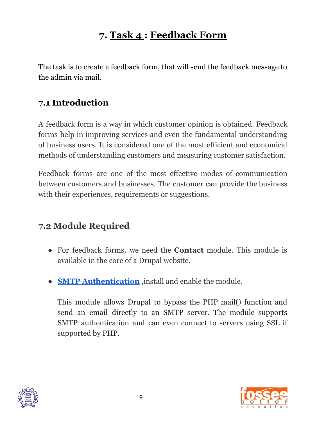# **7. Task 4 : Feedback Form**

The task is to create a feedback form, that will send the feedback message to the admin via mail.

### **7.1 Introduction**

A feedback form is a way in which customer opinion is obtained. Feedback forms help in improving services and even the fundamental understanding of business users. It is considered one of the most efficient and economical methods of understanding customers and measuring customer satisfaction.

Feedback forms are one of the most effective modes of communication between customers and businesses. The customer can provide the business with their experiences, requirements or suggestions.

### **7.2 Module Required**

- For feedback forms, we need the **Contact** module. This module is available in the core of a Drupal website.
- **● SMTP [Authentication](https://www.drupal.org/project/smtp)** ,install and enable the module.

This module allows Drupal to bypass the PHP mail() function and send an email directly to an SMTP server. The module supports SMTP authentication and can even connect to servers using SSL if supported by PHP.



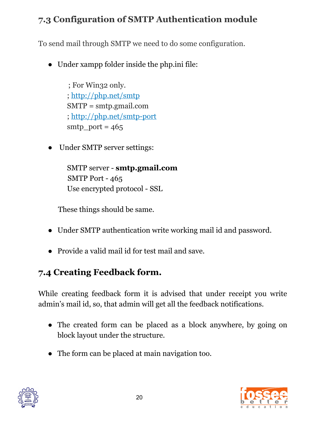## **7.3 Configuration of SMTP Authentication module**

To send mail through SMTP we need to do some configuration.

● Under xampp folder inside the php.ini file:

; For Win32 only. ; <http://php.net/smtp> SMTP = smtp.gmail.com ; <http://php.net/smtp-port>  $smtp\_port = 465$ 

Under SMTP server settings:

SMTP server - **smtp.gmail.com** SMTP Port - 465 Use encrypted protocol - SSL

These things should be same.

- Under SMTP authentication write working mail id and password.
- Provide a valid mail id for test mail and save.

## **7.4 Creating Feedback form.**

While creating feedback form it is advised that under receipt you write admin's mail id, so, that admin will get all the feedback notifications.

- The created form can be placed as a block anywhere, by going on block layout under the structure.
- The form can be placed at main navigation too.



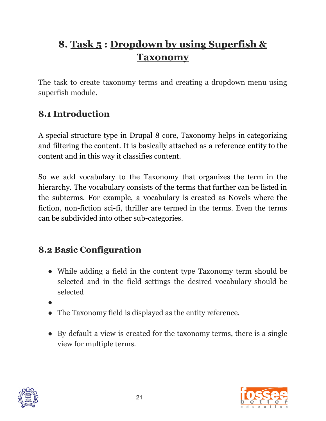# **8. Task 5 : Dropdown by using Superfish & Taxonomy**

The task to create taxonomy terms and creating a dropdown menu using superfish module.

## **8.1 Introduction**

A special structure type in Drupal 8 core, Taxonomy helps in categorizing and filtering the content. It is basically attached as a reference entity to the content and in this way it classifies content.

So we add vocabulary to the Taxonomy that organizes the term in the hierarchy. The vocabulary consists of the terms that further can be listed in the subterms. For example, a vocabulary is created as Novels where the fiction, non-fiction sci-fi, thriller are termed in the terms. Even the terms can be subdivided into other sub-categories.

## **8.2 Basic Configuration**

- While adding a field in the content type Taxonomy term should be selected and in the field settings the desired vocabulary should be selected
- ●
- The Taxonomy field is displayed as the entity reference.
- By default a view is created for the taxonomy terms, there is a single view for multiple terms.



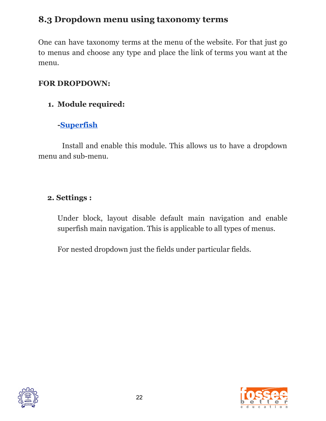## **8.3 Dropdown menu using taxonomy terms**

One can have taxonomy terms at the menu of the website. For that just go to menus and choose any type and place the link of terms you want at the menu.

#### **FOR DROPDOWN:**

#### **1. Module required:**

#### **[-Superfish](https://www.drupal.org/project/superfish)**

Install and enable this module. This allows us to have a dropdown menu and sub-menu.

#### **2. Settings :**

Under block, layout disable default main navigation and enable superfish main navigation. This is applicable to all types of menus.

For nested dropdown just the fields under particular fields.



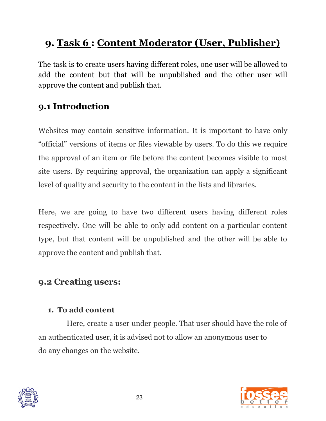# **9. Task 6 : Content Moderator (User, Publisher)**

The task is to create users having different roles, one user will be allowed to add the content but that will be unpublished and the other user will approve the content and publish that.

### **9.1 Introduction**

Websites may contain sensitive information. It is important to have only "official" versions of items or files viewable by users. To do this we require the approval of an item or file before the content becomes visible to most site users. By requiring approval, the organization can apply a significant level of quality and security to the content in the lists and libraries.

Here, we are going to have two different users having different roles respectively. One will be able to only add content on a particular content type, but that content will be unpublished and the other will be able to approve the content and publish that.

### **9.2 Creating users:**

#### **1. To add content**

Here, create a user under people. That user should have the role of an authenticated user, it is advised not to allow an anonymous user to do any changes on the website.



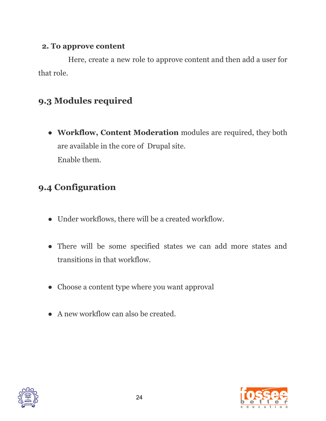#### **2. To approve content**

Here, create a new role to approve content and then add a user for that role.

## **9.3 Modules required**

**● Workflow, Content Moderation** modules are required, they both are available in the core of Drupal site. Enable them.

## **9.4 Configuration**

- Under workflows, there will be a created workflow.
- There will be some specified states we can add more states and transitions in that workflow.
- Choose a content type where you want approval
- A new workflow can also be created.



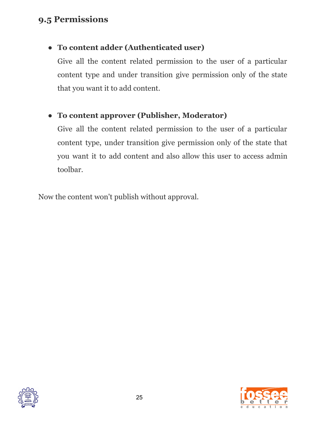### **9.5 Permissions**

### **● To content adder (Authenticated user)**

Give all the content related permission to the user of a particular content type and under transition give permission only of the state that you want it to add content.

### **● To content approver (Publisher, Moderator)**

Give all the content related permission to the user of a particular content type, under transition give permission only of the state that you want it to add content and also allow this user to access admin toolbar.

Now the content won't publish without approval.



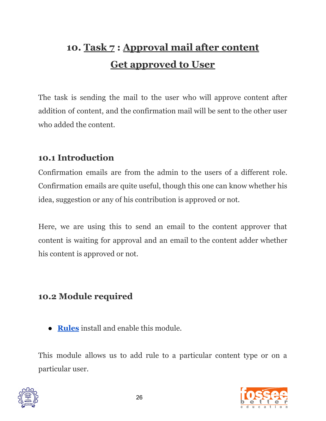# **10. Task 7 : Approval mail after content Get approved to User**

The task is sending the mail to the user who will approve content after addition of content, and the confirmation mail will be sent to the other user who added the content.

### **10.1 Introduction**

Confirmation emails are from the admin to the users of a different role. Confirmation emails are quite useful, though this one can know whether his idea, suggestion or any of his contribution is approved or not.

Here, we are using this to send an email to the content approver that content is waiting for approval and an email to the content adder whether his content is approved or not.

### **10.2 Module required**

● **[Rules](https://www.drupal.org/project/rules)** install and enable this module.

This module allows us to add rule to a particular content type or on a particular user.



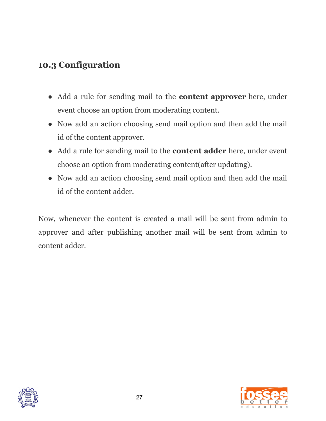### **10.3 Configuration**

- Add a rule for sending mail to the **content approver** here, under event choose an option from moderating content.
- Now add an action choosing send mail option and then add the mail id of the content approver.
- Add a rule for sending mail to the **content adder** here, under event choose an option from moderating content(after updating).
- Now add an action choosing send mail option and then add the mail id of the content adder.

Now, whenever the content is created a mail will be sent from admin to approver and after publishing another mail will be sent from admin to content adder.